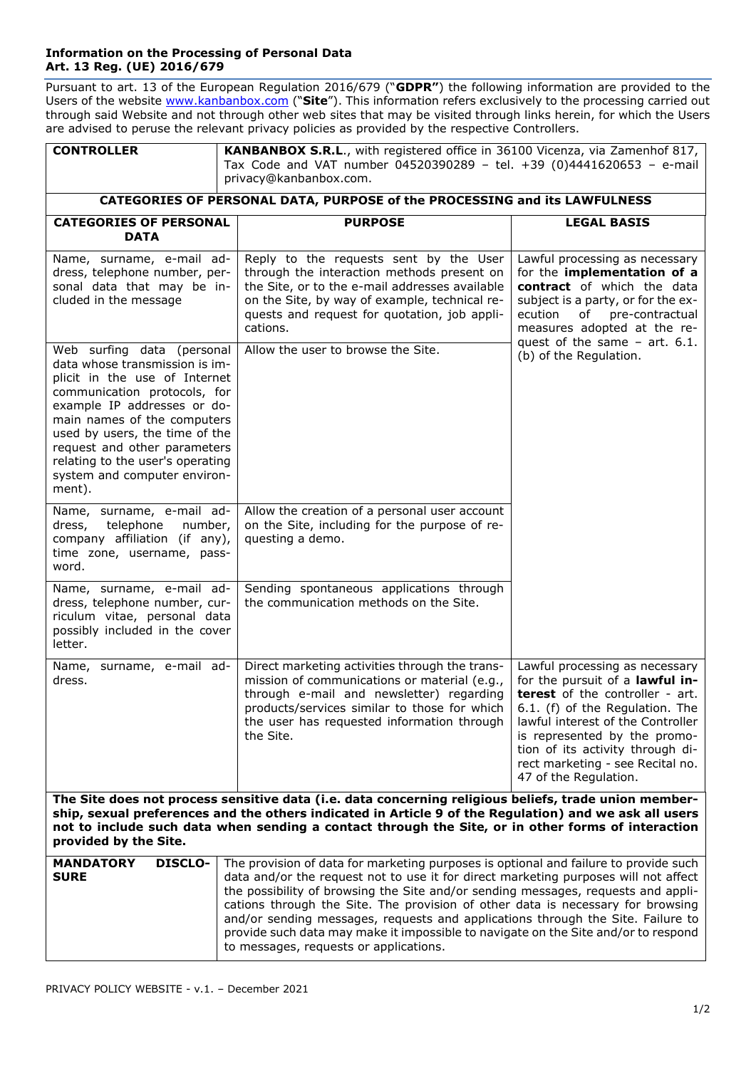## **Information on the Processing of Personal Data Art. 13 Reg. (UE) 2016/679**

Pursuant to art. 13 of the European Regulation 2016/679 ("**GDPR"**) the following information are provided to the Users of the website [www.kanbanbox.com](http://www.kanbanbox.com/) ("**Site**"). This information refers exclusively to the processing carried out through said Website and not through other web sites that may be visited through links herein, for which the Users are advised to peruse the relevant privacy policies as provided by the respective Controllers.

| <b>CONTROLLER</b>                                                                                                                                                                                                                                                                                                                              | KANBANBOX S.R.L., with registered office in 36100 Vicenza, via Zamenhof 817,<br>Tax Code and VAT number 04520390289 - tel. +39 (0)4441620653 - e-mail<br>privacy@kanbanbox.com.                                                                                                                                                                                                                                                                                                                                                                                        |                                                                                                                                                                                                                                                                                                                      |
|------------------------------------------------------------------------------------------------------------------------------------------------------------------------------------------------------------------------------------------------------------------------------------------------------------------------------------------------|------------------------------------------------------------------------------------------------------------------------------------------------------------------------------------------------------------------------------------------------------------------------------------------------------------------------------------------------------------------------------------------------------------------------------------------------------------------------------------------------------------------------------------------------------------------------|----------------------------------------------------------------------------------------------------------------------------------------------------------------------------------------------------------------------------------------------------------------------------------------------------------------------|
| CATEGORIES OF PERSONAL DATA, PURPOSE of the PROCESSING and its LAWFULNESS                                                                                                                                                                                                                                                                      |                                                                                                                                                                                                                                                                                                                                                                                                                                                                                                                                                                        |                                                                                                                                                                                                                                                                                                                      |
| <b>CATEGORIES OF PERSONAL</b><br><b>DATA</b>                                                                                                                                                                                                                                                                                                   | <b>PURPOSE</b>                                                                                                                                                                                                                                                                                                                                                                                                                                                                                                                                                         | <b>LEGAL BASIS</b>                                                                                                                                                                                                                                                                                                   |
| Name, surname, e-mail ad-<br>dress, telephone number, per-<br>sonal data that may be in-<br>cluded in the message                                                                                                                                                                                                                              | Reply to the requests sent by the User<br>through the interaction methods present on<br>the Site, or to the e-mail addresses available<br>on the Site, by way of example, technical re-<br>quests and request for quotation, job appli-<br>cations.                                                                                                                                                                                                                                                                                                                    | Lawful processing as necessary<br>for the implementation of a<br>contract of which the data<br>subject is a party, or for the ex-<br>ecution<br>of<br>pre-contractual<br>measures adopted at the re-<br>quest of the same $-$ art. 6.1.                                                                              |
| Web surfing data (personal<br>data whose transmission is im-<br>plicit in the use of Internet<br>communication protocols, for<br>example IP addresses or do-<br>main names of the computers<br>used by users, the time of the<br>request and other parameters<br>relating to the user's operating<br>system and computer environ-<br>ment).    | Allow the user to browse the Site.                                                                                                                                                                                                                                                                                                                                                                                                                                                                                                                                     | (b) of the Regulation.                                                                                                                                                                                                                                                                                               |
| Name, surname, e-mail ad-<br>telephone<br>dress,<br>number,<br>company affiliation (if any),<br>time zone, username, pass-<br>word.                                                                                                                                                                                                            | Allow the creation of a personal user account<br>on the Site, including for the purpose of re-<br>questing a demo.                                                                                                                                                                                                                                                                                                                                                                                                                                                     |                                                                                                                                                                                                                                                                                                                      |
| Name, surname, e-mail ad-<br>dress, telephone number, cur-<br>riculum vitae, personal data<br>possibly included in the cover<br>letter.                                                                                                                                                                                                        | Sending spontaneous applications through<br>the communication methods on the Site.                                                                                                                                                                                                                                                                                                                                                                                                                                                                                     |                                                                                                                                                                                                                                                                                                                      |
| Name, surname, e-mail ad-<br>dress.                                                                                                                                                                                                                                                                                                            | Direct marketing activities through the trans-<br>mission of communications or material (e.g.,<br>through e-mail and newsletter) regarding<br>products/services similar to those for which<br>the user has requested information through<br>the Site.                                                                                                                                                                                                                                                                                                                  | Lawful processing as necessary<br>for the pursuit of a lawful in-<br><b>terest</b> of the controller - art.<br>6.1. (f) of the Regulation. The<br>lawful interest of the Controller<br>is represented by the promo-<br>tion of its activity through di-<br>rect marketing - see Recital no.<br>47 of the Regulation. |
| The Site does not process sensitive data (i.e. data concerning religious beliefs, trade union member-<br>ship, sexual preferences and the others indicated in Article 9 of the Regulation) and we ask all users<br>not to include such data when sending a contact through the Site, or in other forms of interaction<br>provided by the Site. |                                                                                                                                                                                                                                                                                                                                                                                                                                                                                                                                                                        |                                                                                                                                                                                                                                                                                                                      |
| <b>MANDATORY</b><br><b>DISCLO-</b><br><b>SURE</b>                                                                                                                                                                                                                                                                                              | The provision of data for marketing purposes is optional and failure to provide such<br>data and/or the request not to use it for direct marketing purposes will not affect<br>the possibility of browsing the Site and/or sending messages, requests and appli-<br>cations through the Site. The provision of other data is necessary for browsing<br>and/or sending messages, requests and applications through the Site. Failure to<br>provide such data may make it impossible to navigate on the Site and/or to respond<br>to messages, requests or applications. |                                                                                                                                                                                                                                                                                                                      |